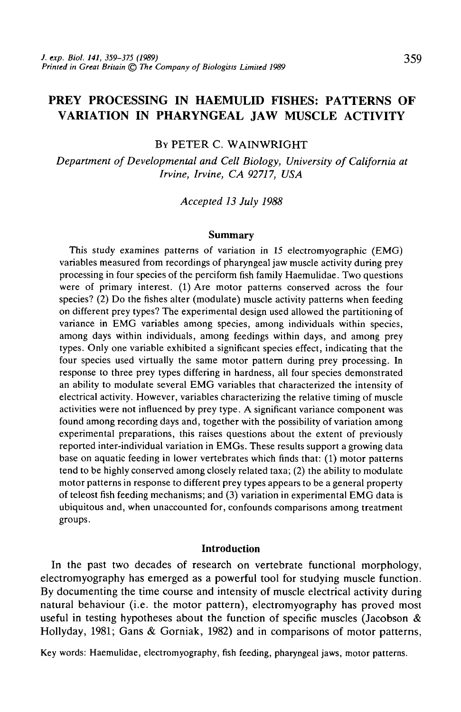# **PREY PROCESSING IN HAEMULID FISHES: PATTERNS OF VARIATION IN PHARYNGEAL JAW MUSCLE ACTIVITY**

# BY PETER C. WAINWRIGHT

*Department of Developmental and Cell Biology, University of California at Irvine, Irvine, CA 92717, USA*

*Accepted 13 July 1988*

#### **Summary**

This study examines patterns of variation in 15 electromyographic (EMG) variables measured from recordings of pharyngeal jaw muscle activity during prey processing in four species of the perciform fish family Haemulidae. Two questions were of primary interest. (1) Are motor patterns conserved across the four species? (2) Do the fishes alter (modulate) muscle activity patterns when feeding on different prey types? The experimental design used allowed the partitioning of variance in EMG variables among species, among individuals within species, among days within individuals, among feedings within days, and among prey types. Only one variable exhibited a significant species effect, indicating that the four species used virtually the same motor pattern during prey processing. In response to three prey types differing in hardness, all four species demonstrated an ability to modulate several EMG variables that characterized the intensity of electrical activity. However, variables characterizing the relative timing of muscle activities were not influenced by prey type. A significant variance component was found among recording days and, together with the possibility of variation among experimental preparations, this raises questions about the extent of previously reported inter-individual variation in EMGs. These results support a growing data base on aquatic feeding in lower vertebrates which finds that: (1) motor patterns tend to be highly conserved among closely related taxa; (2) the ability to modulate motor patterns in response to different prey types appears to be a general property of teleost fish feeding mechanisms; and (3) variation in experimental EMG data is ubiquitous and, when unaccounted for, confounds comparisons among treatment groups.

#### **Introduction**

In the past two decades of research on vertebrate functional morphology, electromyography has emerged as a powerful tool for studying muscle function. By documenting the time course and intensity of muscle electrical activity during natural behaviour (i.e. the motor pattern), electromyography has proved most useful in testing hypotheses about the function of specific muscles (Jacobson  $\&$ Hollyday, 1981; Gans & Gorniak, 1982) and in comparisons of motor patterns,

Key words: Haemulidae, electromyography, fish feeding, pharyngeal jaws, motor patterns.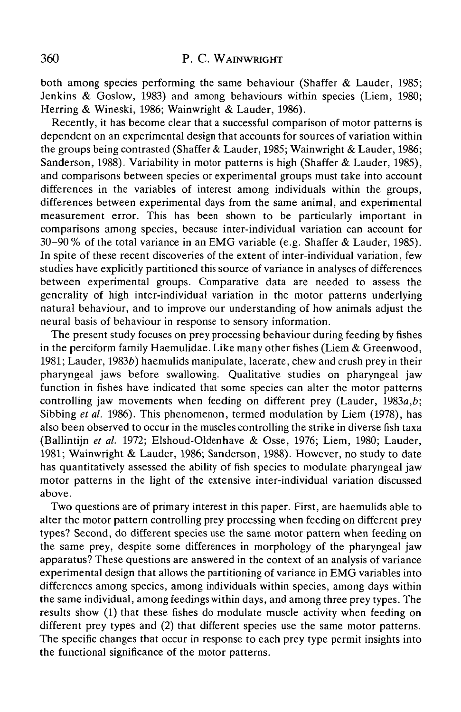both among species performing the same behaviour (Shaffer & Lauder, 1985; Jenkins & Goslow, 1983) and among behaviours within species (Liem, 1980; Herring & Wineski, 1986; Wainwright & Lauder, 1986).

Recently, it has become clear that a successful comparison of motor patterns is dependent on an experimental design that accounts for sources of variation within the groups being contrasted (Shaffer & Lauder, 1985; Wainwright & Lauder, 1986; Sanderson, 1988). Variability in motor patterns is high (Shaffer & Lauder, 1985), and comparisons between species or experimental groups must take into account differences in the variables of interest among individuals within the groups, differences between experimental days from the same animal, and experimental measurement error. This has been shown to be particularly important in comparisons among species, because inter-individual variation can account for 30-90% of the total variance in an EMG variable (e.g. Shaffer & Lauder, 1985). In spite of these recent discoveries of the extent of inter-individual variation, few studies have explicitly partitioned this source of variance in analyses of differences between experimental groups. Comparative data are needed to assess the generality of high inter-individual variation in the motor patterns underlying natural behaviour, and to improve our understanding of how animals adjust the neural basis of behaviour in response to sensory information.

The present study focuses on prey processing behaviour during feeding by fishes in the perciform family Haemulidae. Like many other fishes (Liem & Greenwood, 1981; Lauder, 1983 $b$ ) haemulids manipulate, lacerate, chew and crush prey in their pharyngeal jaws before swallowing. Qualitative studies on pharyngeal jaw function in fishes have indicated that some species can alter the motor patterns controlling jaw movements when feeding on different prey (Lauder, 1983a,*b\* Sibbing *et al.* 1986). This phenomenon, termed modulation by Liem (1978), has also been observed to occur in the muscles controlling the strike in diverse fish taxa (Ballintijn *et al* 1972; Elshoud-Oldenhave & Osse, 1976; Liem, 1980; Lauder, 1981; Wainwright & Lauder, 1986; Sanderson, 1988). However, no study to date has quantitatively assessed the ability of fish species to modulate pharyngeal jaw motor patterns in the light of the extensive inter-individual variation discussed above.

Two questions are of primary interest in this paper. First, are haemulids able to alter the motor pattern controlling prey processing when feeding on different prey types? Second, do different species use the same motor pattern when feeding on the same prey, despite some differences in morphology of the pharyngeal jaw apparatus? These questions are answered in the context of an analysis of variance experimental design that allows the partitioning of variance in EMG variables into differences among species, among individuals within species, among days within the same individual, among feedings within days, and among three prey types. The results show (1) that these fishes do modulate muscle activity when feeding on different prey types and (2) that different species use the same motor patterns. The specific changes that occur in response to each prey type permit insights into the functional significance of the motor patterns.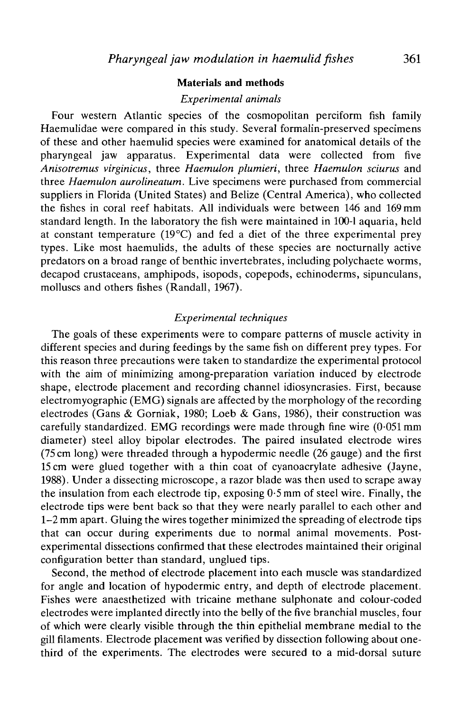## **Materials and methods**

#### *Experimental animals*

Four western Atlantic species of the cosmopolitan perciform fish family Haemulidae were compared in this study. Several formalin-preserved specimens of these and other haemulid species were examined for anatomical details of the pharyngeal jaw apparatus. Experimental data were collected from five *Anisotremus virginicus,* three *Haemulon plumieri,* three *Haemulon sciurus* and three *Haemulon aurolineatum.* Live specimens were purchased from commercial suppliers in Florida (United States) and Belize (Central America), who collected the fishes in coral reef habitats. All individuals were between 146 and 169 mm standard length. In the laboratory the fish were maintained in 100-1 aquaria, held at constant temperature ( $19^{\circ}$ C) and fed a diet of the three experimental prey types. Like most haemulids, the adults of these species are nocturnally active predators on a broad range of benthic invertebrates, including polychaete worms, decapod crustaceans, amphipods, isopods, copepods, echinoderms, sipunculans, molluscs and others fishes (Randall, 1967).

# *Experimental techniques*

The goals of these experiments were to compare patterns of muscle activity in different species and during feedings by the same fish on different prey types. For this reason three precautions were taken to standardize the experimental protocol with the aim of minimizing among-preparation variation induced by electrode shape, electrode placement and recording channel idiosyncrasies. First, because  $electromyographic (EMG) signals are affected by the morphology of the recording$ electrodes (Gans & Gorniak, 1980; Loeb & Gans, 1986), their construction was carefully standardized. EMG recordings were made through fine wire (0-051 mm diameter) steel alloy bipolar electrodes. The paired insulated electrode wires (75 cm long) were threaded through a hypodermic needle (26 gauge) and the first 15 cm were glued together with a thin coat of cyanoacrylate adhesive (Jayne, 1988). Under a dissecting microscope, a razor blade was then used to scrape away the insulation from each electrode tip, exposing 0-5 mm of steel wire. Finally, the electrode tips were bent back so that they were nearly parallel to each other and 1-2 mm apart. Gluing the wires together minimized the spreading of electrode tips that can occur during experiments due to normal animal movements. Postexperimental dissections confirmed that these electrodes maintained their original configuration better than standard, unglued tips.

Second, the method of electrode placement into each muscle was standardized for angle and location of hypodermic entry, and depth of electrode placement. Fishes were anaesthetized with tricaine methane sulphonate and colour-coded electrodes were implanted directly into the belly of the five branchial muscles, four of which were clearly visible through the thin epithelial membrane medial to the gill filaments. Electrode placement was verified by dissection following about onethird of the experiments. The electrodes were secured to a mid-dorsal suture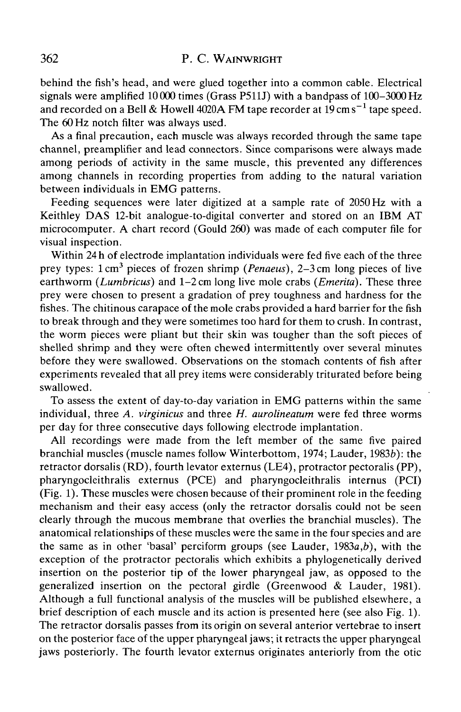behind the fish's head, and were glued together into a common cable. Electrical signals were amplified 10000 times (Grass P511J) with a bandpass of 100–3000 Hz and recorded on a Bell & Howell 4020A FM tape recorder at 19 cm s $^{-1}$  tape speed. The 60 Hz notch filter was always used.

As a final precaution, each muscle was always recorded through the same tape channel, preamplifier and lead connectors. Since comparisons were always made among periods of activity in the same muscle, this prevented any differences among channels in recording properties from adding to the natural variation between individuals in EMG patterns.

Feeding sequences were later digitized at a sample rate of 2050 Hz with a Keithley DAS 12-bit analogue-to-digital converter and stored on an IBM AT microcomputer. A chart record (Gould 260) was made of each computer file for visual inspection.

Within 24 h of electrode implantation individuals were fed five each of the three prey types: 1 cm<sup>3</sup> pieces of frozen shrimp (Penaeus), 2-3 cm long pieces of live earthworm *(Lumbricus)* and 1-2 cm long live mole crabs *(Emerita).* These three prey were chosen to present a gradation of prey toughness and hardness for the fishes. The chitinous carapace of the mole crabs provided a hard barrier for the fish to break through and they were sometimes too hard for them to crush. In contrast, the worm pieces were pliant but their skin was tougher than the soft pieces of shelled shrimp and they were often chewed intermittently over several minutes before they were swallowed. Observations on the stomach contents of fish after experiments revealed that all prey items were considerably triturated before being swallowed.

To assess the extent of day-to-day variation in EMG patterns within the same individual, three *A. virginicus* and three *H. aurolineatum* were fed three worms per day for three consecutive days following electrode implantation.

All recordings were made from the left member of the same five paired branchial muscles (muscle names follow Winterbottom, 1974; Lauder, 19836): the retractor dorsalis (RD), fourth levator externus (LE4), protractor pectoralis (PP), pharyngocleithralis externus (PCE) and pharyngocleithralis internus (PCI) (Fig. 1). These muscles were chosen because of their prominent role in the feeding mechanism and their easy access (only the retractor dorsalis could not be seen clearly through the mucous membrane that overlies the branchial muscles). The anatomical relationships of these muscles were the same in the four species and are the same as in other 'basal' perciform groups (see Lauder, 1983a,*b),* with the exception of the protractor pectoralis which exhibits a phylogenetically derived insertion on the posterior tip of the lower pharyngeal jaw, as opposed to the generalized insertion on the pectoral girdle (Greenwood & Lauder, 1981). Although a full functional analysis of the muscles will be published elsewhere, a brief description of each muscle and its action is presented here (see also Fig. 1). The retractor dorsalis passes from its origin on several anterior vertebrae to insert on the posterior face of the upper pharyngeal jaws; it retracts the upper pharyngeal jaws posteriorly. The fourth levator externus originates anteriorly from the otic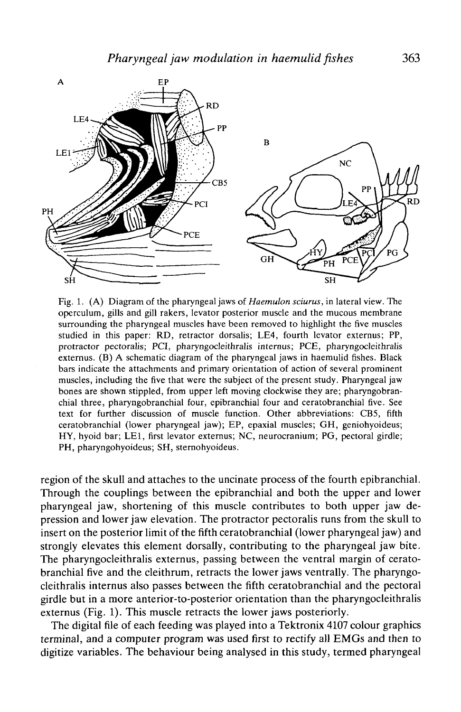

Fig. 1. (A) Diagram of the pharyngeal jaws of *Haemulon sciurus,* in lateral view. The operculum, gills and gill rakers, levator posterior muscle and the mucous membrane surrounding the pharyngeal muscles have been removed to highlight the five muscles studied in this paper: RD, retractor dorsalis; LE4, fourth levator externus; PP, protractor pectoralis; PCI, pharyngocleithralis internus; PCE, pharyngocleithralis externus. (B) A schematic diagram of the pharyngeal jaws in haemulid fishes. Black bars indicate the attachments and primary orientation of action of several prominent muscles, including the five that were the subject of the present study. Pharyngeal jaw bones are shown stippled, from upper left moving clockwise they are; pharyngobranchial three, pharyngobranchial four, epibranchial four and ceratobranchial five. See text for further discussion of muscle function. Other abbreviations: CB5, fifth ceratobranchial (lower pharyngeal jaw); EP, epaxial muscles; GH, geniohyoideus; HY, hyoid bar; LEI, first levator externus; NC, neurocranium; PG, pectoral girdle; PH, pharyngohyoideus; SH, steraohyoideus.

region of the skull and attaches to the uncinate process of the fourth epibranchial. Through the couplings between the epibranchial and both the upper and lower pharyngeal jaw, shortening of this muscle contributes to both upper jaw depression and lower jaw elevation. The protractor pectoralis runs from the skull to insert on the posterior limit of the fifth ceratobranchial (lower pharyngeal jaw) and strongly elevates this element dorsally, contributing to the pharyngeal jaw bite. The pharyngocleithralis externus, passing between the ventral margin of ceratobranchial five and the cleithrum, retracts the lower jaws ventrally. The pharyngocleithralis internus also passes between the fifth ceratobranchial and the pectoral girdle but in a more anterior-to-posterior orientation than the pharyngocleithralis externus (Fig. 1). This muscle retracts the lower jaws posteriorly.

The digital file of each feeding was played into a Tektronix 4107 colour graphics terminal, and a computer program was used first to rectify all EMGs and then to digitize variables. The behaviour being analysed in this study, termed pharyngeal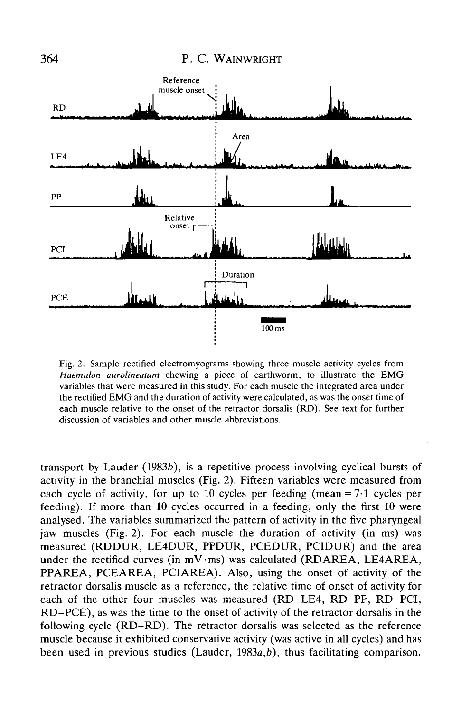

Fig. 2. Sample rectified electromyograms showing three muscle activity cycles from *Haemulon aurolineatum* chewing a piece of earthworm, to illustrate the EMG variables that were measured in this study. For each muscle the integrated area under the rectified EMG and the duration of activity were calculated, as was the onset time of each muscle relative to the onset of the retractor dorsalis (RD). See text for further discussion of variables and other muscle abbreviations.

transport by Lauder  $(1983b)$ , is a repetitive process involving cyclical bursts of activity in the branchial muscles (Fig. 2). Fifteen variables were measured from each cycle of activity, for up to 10 cycles per feeding (mean  $= 7.1$  cycles per feeding). If more than 10 cycles occurred in a feeding, only the first 10 were analysed. The variables summarized the pattern of activity in the five pharyngeal jaw muscles (Fig. 2). For each muscle the duration of activity (in ms) was measured (RDDUR, LE4DUR, PPDUR, PCEDUR, PCIDUR) and the area under the rectified curves (in  $mV$ ·ms) was calculated (RDAREA, LE4AREA, PPAREA, PCEAREA, PCIAREA). Also, using the onset of activity of the retractor dorsalis muscle as a reference, the relative time of onset of activity for each of the other four muscles was measured (RD-LE4, RD-PF, RD-PCI, RD-PCE), as was the time to the onset of activity of the retractor dorsalis in the following cycle (RD-RD). The retractor dorsalis was selected as the reference muscle because it exhibited conservative activity (was active in all cycles) and has been used in previous studies (Lauder, 1983a,*b),* thus facilitating comparison.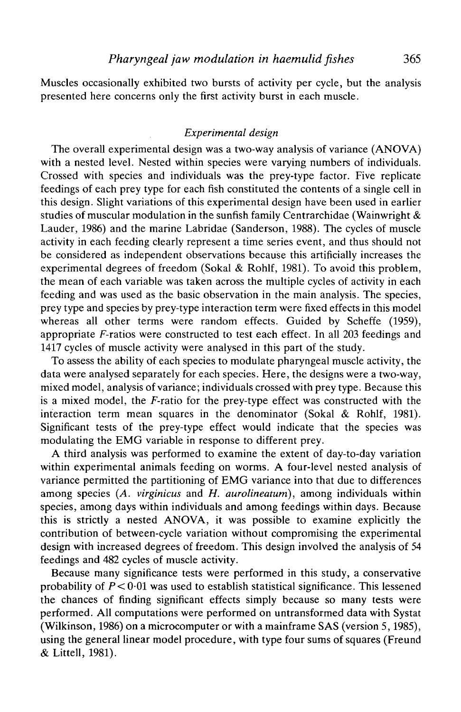Muscles occasionally exhibited two bursts of activity per cycle, but the analysis presented here concerns only the first activity burst in each muscle.

#### *Experimental design*

The overall experimental design was a two-way analysis of variance (ANOVA) with a nested level. Nested within species were varying numbers of individuals. Crossed with species and individuals was the prey-type factor. Five replicate feedings of each prey type for each fish constituted the contents of a single cell in this design. Slight variations of this experimental design have been used in earlier studies of muscular modulation in the sunfish family Centrarchidae (Wainwright  $\&$ Lauder, 1986) and the marine Labridae (Sanderson, 1988). The cycles of muscle activity in each feeding clearly represent a time series event, and thus should not be considered as independent observations because this artificially increases the experimental degrees of freedom (Sokal & Rohlf, 1981). To avoid this problem, the mean of each variable was taken across the multiple cycles of activity in each feeding and was used as the basic observation in the main analysis. The species, prey type and species by prey-type interaction term were fixed effects in this model whereas all other terms were random effects. Guided by Scheffe (1959), appropriate F-ratios were constructed to test each effect. In all 203 feedings and 1417 cycles of muscle activity were analysed in this part of the study.

To assess the ability of each species to modulate pharyngeal muscle activity, the data were analysed separately for each species. Here, the designs were a two-way, mixed model, analysis of variance; individuals crossed with prey type. Because this is a mixed model, the  $F$ -ratio for the prey-type effect was constructed with the interaction term mean squares in the denominator (Sokal & Rohlf, 1981). Significant tests of the prey-type effect would indicate that the species was modulating the EMG variable in response to different prey.

A third analysis was performed to examine the extent of day-to-day variation within experimental animals feeding on worms. A four-level nested analysis of variance permitted the partitioning of EMG variance into that due to differences among species *(A. virginicus* and *H. aurolineatum)*, among individuals within species, among days within individuals and among feedings within days. Because this is strictly a nested ANOVA, it was possible to examine explicitly the contribution of between-cycle variation without compromising the experimental design with increased degrees of freedom. This design involved the analysis of 54 feedings and 482 cycles of muscle activity.

Because many significance tests were performed in this study, a conservative probability of  $P < 0.01$  was used to establish statistical significance. This lessened the chances of finding significant effects simply because so many tests were performed. All computations were performed on untransformed data with Systat (Wilkinson, 1986) on a microcomputer or with a mainframe SAS (version 5,1985), using the general linear model procedure, with type four sums of squares (Freund & Littell, 1981).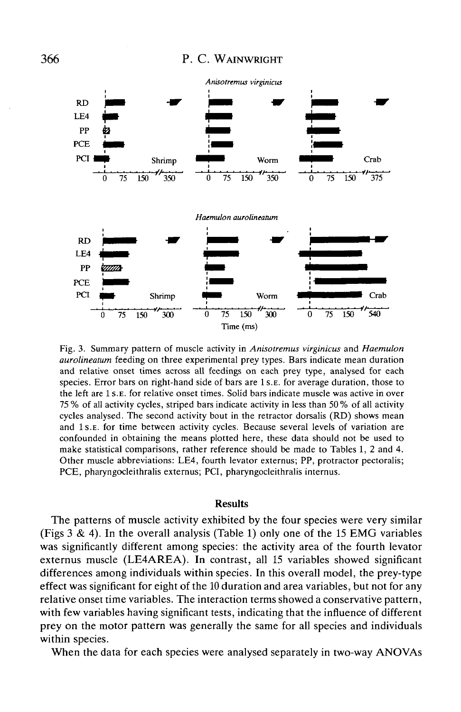

Fig. 3. Summary pattern of muscle activity in *Anisotremus virginicus* and *Haemulon aurolineatum* feeding on three experimental prey types. Bars indicate mean duration and relative onset times across all feedings on each prey type, analysed for each species. Error bars on right-hand side of bars are 1 S.E. for average duration, those to the left are 1 S.E. for relative onset times. Solid bars indicate muscle was active in over 75 % of all activity cycles, striped bars indicate activity in less than 50 % of all activity cycles analysed. The second activity bout in the retractor dorsalis (RD) shows mean and 1 s.E. for time between activity cycles. Because several levels of variation are confounded in obtaining the means plotted here, these data should not be used to make statistical comparisons, rather reference should be made to Tables 1, 2 and 4. Other muscle abbreviations: LE4, fourth levator externus; PP, protractor pectoralis; PCE, pharyngocleithralis externus; PCI, pharyngocleithralis internus.

#### Results

The patterns of muscle activity exhibited by the four species were very similar (Figs  $3 \& 4$ ). In the overall analysis (Table 1) only one of the 15 EMG variables was significantly different among species: the activity area of the fourth levator externus muscle (LE4AREA). In contrast, all 15 variables showed significant differences among individuals within species. In this overall model, the prey-type effect was significant for eight of the 10 duration and area variables, but not for any relative onset time variables. The interaction terms showed a conservative pattern, with few variables having significant tests, indicating that the influence of different prey on the motor pattern was generally the same for all species and individuals within species.

When the data for each species were analysed separately in two-way ANOVAs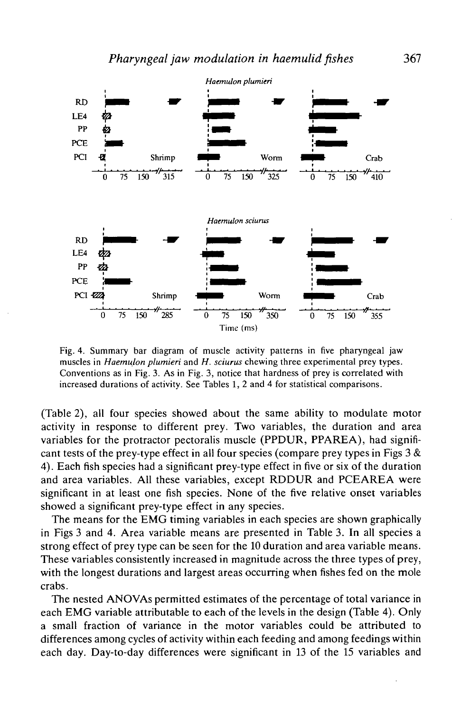

Fig. 4. Summary bar diagram of muscle activity patterns in five pharyngeal jaw muscles in *Haemulon plumieri* and *H. sciurus* chewing three experimental prey types. Conventions as in Fig. 3. As in Fig. 3, notice that hardness of prey is correlated with increased durations of activity. See Tables 1, 2 and 4 for statistical comparisons.

(Table 2), all four species showed about the same ability to modulate motor activity in response to different prey. Two variables, the duration and area variables for the protractor pectoralis muscle (PPDUR, PPAREA), had significant tests of the prey-type effect in all four species (compare prey types in Figs  $3 &$ 4). Each fish species had a significant prey-type effect in five or six of the duration and area variables. All these variables, except RDDUR and PCEAREA were significant in at least one fish species. None of the five relative onset variables showed a significant prey-type effect in any species.

The means for the EMG timing variables in each species are shown graphically in Figs 3 and 4. Area variable means are presented in Table 3. In all species a strong effect of prey type can be seen for the 10 duration and area variable means. These variables consistently increased in magnitude across the three types of prey, with the longest durations and largest areas occurring when fishes fed on the mole crabs.

The nested ANOVAs permitted estimates of the percentage of total variance in each EMG variable attributable to each of the levels in the design (Table 4). Only a small fraction of variance in the motor variables could be attributed to differences among cycles of activity within each feeding and among feedings within each day. Day-to-day differences were significant in 13 of the 15 variables and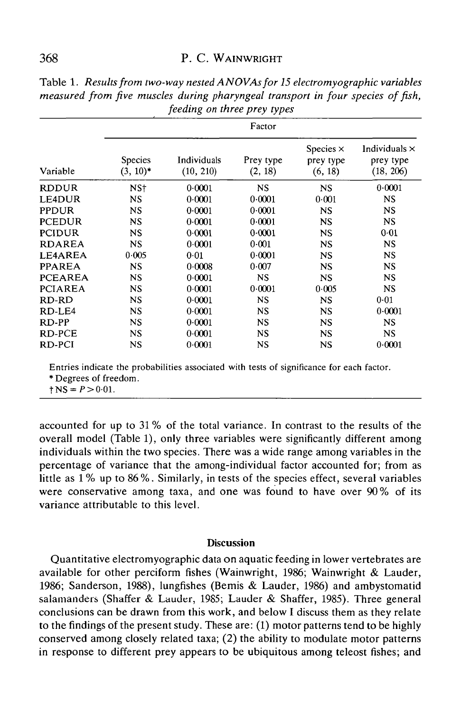## 368 P. C. WAINWRIGHT

| . 9            |                        |                          |                      |                                          |                                                |  |
|----------------|------------------------|--------------------------|----------------------|------------------------------------------|------------------------------------------------|--|
|                | Factor                 |                          |                      |                                          |                                                |  |
| Variable       | Species<br>$(3, 10)^*$ | Individuals<br>(10, 210) | Prey type<br>(2, 18) | Species $\times$<br>prey type<br>(6, 18) | Individuals $\times$<br>prey type<br>(18, 206) |  |
| <b>RDDUR</b>   | NS†                    | 0.0001                   | <b>NS</b>            | <b>NS</b>                                | 0.0001                                         |  |
| LE4DUR         | NS.                    | 0.0001                   | 0.0001               | 0.001                                    | NS                                             |  |
| <b>PPDUR</b>   | <b>NS</b>              | 0.0001                   | 0.0001               | NS                                       | NS                                             |  |
| <b>PCEDUR</b>  | <b>NS</b>              | 0.0001                   | 0.0001               | <b>NS</b>                                | <b>NS</b>                                      |  |
| <b>PCIDUR</b>  | <b>NS</b>              | 0.0001                   | 0.0001               | <b>NS</b>                                | 0.01                                           |  |
| <b>RDAREA</b>  | <b>NS</b>              | 0.0001                   | 0.001                | <b>NS</b>                                | NS                                             |  |
| LE4AREA        | 0.005                  | 0.01                     | 0.0001               | <b>NS</b>                                | <b>NS</b>                                      |  |
| <b>PPAREA</b>  | <b>NS</b>              | 0.0008                   | 0.007                | <b>NS</b>                                | NS.                                            |  |
| <b>PCEAREA</b> | <b>NS</b>              | 0.0001                   | <b>NS</b>            | <b>NS</b>                                | <b>NS</b>                                      |  |
| <b>PCIAREA</b> | <b>NS</b>              | 0.0001                   | 0.0001               | 0.005                                    | <b>NS</b>                                      |  |
| RD-RD          | <b>NS</b>              | 0.0001                   | <b>NS</b>            | <b>NS</b>                                | 0.01                                           |  |
| RD-LE4         | <b>NS</b>              | 0.0001                   | <b>NS</b>            | <b>NS</b>                                | 0.0001                                         |  |
| RD-PP          | <b>NS</b>              | 0.0001                   | <b>NS</b>            | <b>NS</b>                                | <b>NS</b>                                      |  |
| RD-PCE         | <b>NS</b>              | 0.0001                   | NS.                  | <b>NS</b>                                | <b>NS</b>                                      |  |
| RD-PCI         | NS                     | 0.0001                   | NS                   | NS                                       | 0.0001                                         |  |

Table 1. *Results from two-way nested ANOVAs for 15 electromyographic variables measured from five muscles during pharyngeal transport in four species of fish, feeding on three prey types*

Entries indicate the probabilities associated with tests of significance for each factor.

\* Degrees of freedom.<br> $\uparrow$  NS =  $P > 0.01$ .

accounted for up to 31 % of the total variance. In contrast to the results of the overall model (Table 1), only three variables were significantly different among individuals within the two species. There was a wide range among variables in the percentage of variance that the among-individual factor accounted for; from as little as 1 % up to 86 %. Similarly, in tests of the species effect, several variables were conservative among taxa, and one was found to have over 90% of its variance attributable to this level.

## **Discussion**

Quantitative electromyographic data on aquatic feeding in lower vertebrates are available for other perciform fishes (Wainwright, 1986; Wainwright & Lauder, 1986; Sanderson, 1988), lungfishes (Bemis & Lauder, 1986) and ambystomatid salamanders (Shaffer & Lauder, 1985; Lauder & Shaffer, 1985). Three general conclusions can be drawn from this work, and below I discuss them as they relate to the findings of the present study. These are: (1) motor patterns tend to be highly conserved among closely related taxa; (2) the ability to modulate motor patterns in response to different prey appears to be ubiquitous among teleost fishes; and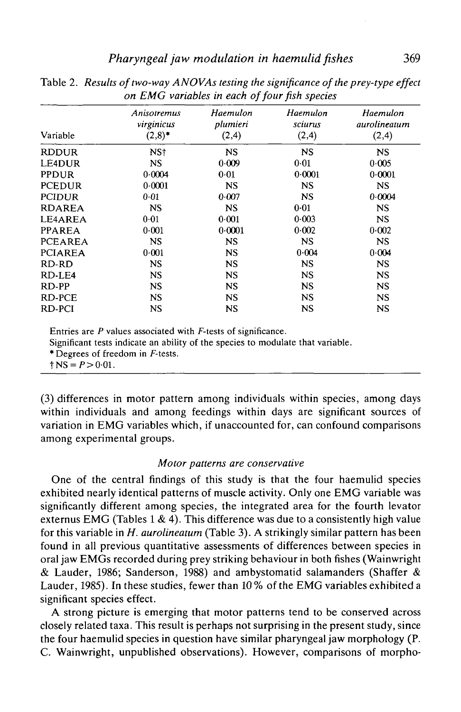| Variable       | Anisotremus<br>virginicus<br>$(2,8)^*$ | Haemulon<br>plumieri<br>(2,4) | Haemulon<br>sciurus<br>(2,4) | Haemulon<br>aurolineatum<br>(2, 4) |
|----------------|----------------------------------------|-------------------------------|------------------------------|------------------------------------|
| <b>RDDUR</b>   | NS <sup>+</sup>                        | <b>NS</b>                     | <b>NS</b>                    | <b>NS</b>                          |
| <b>LE4DUR</b>  | <b>NS</b>                              | 0.009                         | 0.01                         | 0.005                              |
| <b>PPDUR</b>   | 0.0004                                 | 0.01                          | 0.0001                       | 0.0001                             |
| <b>PCEDUR</b>  | 0.0001                                 | <b>NS</b>                     | NS                           | NS.                                |
| <b>PCIDUR</b>  | 0.01                                   | 0.007                         | <b>NS</b>                    | 0.0004                             |
| <b>RDAREA</b>  | <b>NS</b>                              | <b>NS</b>                     | 0.01                         | <b>NS</b>                          |
| LE4AREA        | 0.01                                   | 0.001                         | 0.003                        | <b>NS</b>                          |
| <b>PPAREA</b>  | 0.001                                  | 0.0001                        | 0.002                        | 0.002                              |
| <b>PCEAREA</b> | <b>NS</b>                              | NS.                           | <b>NS</b>                    | <b>NS</b>                          |
| <b>PCIAREA</b> | 0.001                                  | NS.                           | 0.004                        | 0.004                              |
| RD-RD          | <b>NS</b>                              | <b>NS</b>                     | <b>NS</b>                    | <b>NS</b>                          |
| RD-LE4         | NS.                                    | NS.                           | NS                           | <b>NS</b>                          |
| RD-PP          | <b>NS</b>                              | NS.                           | <b>NS</b>                    | <b>NS</b>                          |
| <b>RD-PCE</b>  | <b>NS</b>                              | NS                            | <b>NS</b>                    | <b>NS</b>                          |
| RD-PCI         | NS                                     | <b>NS</b>                     | NS                           | <b>NS</b>                          |

Table 2. *Results of two-way ANOVAs testing the significance of the prey-type effect on EMG variables in each of four fish species*

Entries are *P* values associated with F-tests of significance.

Significant tests indicate an ability of the species to modulate that variable.

\* Degrees of freedom in F-tests.

 $\dagger$  NS =  $P > 0.01$ .

(3) differences in motor pattern among individuals within species, among days within individuals and among feedings within days are significant sources of variation in EMG variables which, if unaccounted for, can confound comparisons among experimental groups.

#### *Motor patterns are conservative*

One of the central findings of this study is that the four haemulid species exhibited nearly identical patterns of muscle activity. Only one EMG variable was significantly different among species, the integrated area for the fourth levator externus EMG (Tables 1 & 4). This difference was due to a consistently high value for this variable in *H. aurolineatum* (Table 3). A strikingly similar pattern has been found in all previous quantitative assessments of differences between species in oral jaw EMGs recorded during prey striking behaviour in both fishes (Wainwright & Lauder, 1986; Sanderson, 1988) and ambystomatid salamanders (Shaffer & Lauder, 1985). In these studies, fewer than 10 % of the EMG variables exhibited a significant species effect.

A strong picture is emerging that motor patterns tend to be conserved across closely related taxa. This result is perhaps not surprising in the present study, since the four haemulid species in question have similar pharyngeal jaw morphology (P. C. Wainwright, unpublished observations). However, comparisons of morpho-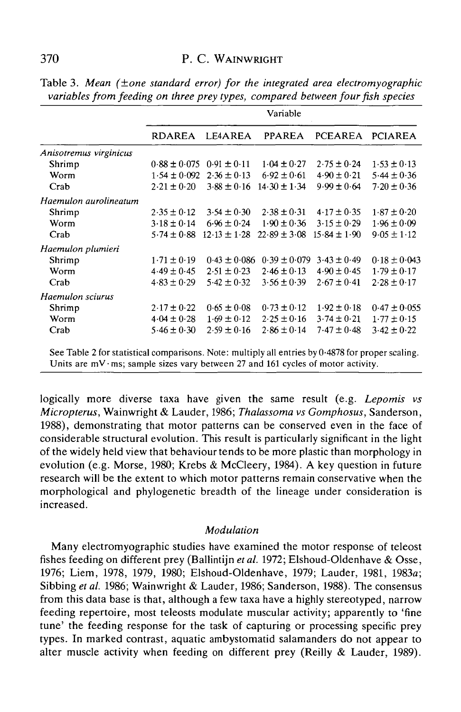|                        | Variable         |                  |                  |                  |                  |
|------------------------|------------------|------------------|------------------|------------------|------------------|
|                        | <b>RDAREA</b>    | LE4AREA          | <b>PPAREA</b>    | PCEAREA PCIAREA  |                  |
| Anisotremus virginicus |                  |                  |                  |                  |                  |
| Shrimp                 | $0.88 \pm 0.075$ | $0.91 \pm 0.11$  | $1.04 \pm 0.27$  | $2.75 \pm 0.24$  | $1.53 \pm 0.13$  |
| Worm                   | $1.54 \pm 0.092$ | $2.36 \pm 0.13$  | $6.92 \pm 0.61$  | $4.90 \pm 0.21$  | $5.44 \pm 0.36$  |
| Crab                   | $2.21 \pm 0.20$  | $3.88 \pm 0.16$  | $14.30 \pm 1.34$ | $9.99 \pm 0.64$  | $7.20 \pm 0.36$  |
| Haemulon aurolineatum  |                  |                  |                  |                  |                  |
| Shrimp                 | $2.35 \pm 0.12$  | $3.54 \pm 0.30$  | $2.38 \pm 0.31$  | $4.17 \pm 0.35$  | $1.87 \pm 0.20$  |
| Worm                   | $3.18 \pm 0.14$  | $6.96 \pm 0.24$  | $1.90 \pm 0.36$  | $3.15 \pm 0.29$  | $1.96 \pm 0.09$  |
| Crab                   | $5.74 \pm 0.88$  | $12.13 \pm 1.28$ | $22.89 \pm 3.08$ | $15.84 \pm 1.90$ | $9.05 \pm 1.12$  |
| Haemulon plumieri      |                  |                  |                  |                  |                  |
| Shrimp                 | $1.71 \pm 0.19$  | $0.43 \pm 0.086$ | $0.39 \pm 0.079$ | $3.43 \pm 0.49$  | $0.18 \pm 0.043$ |
| Worm                   | $4.49 \pm 0.45$  | $2.51 \pm 0.23$  | $2.46 \pm 0.13$  | $4.90 \pm 0.45$  | $1.79 \pm 0.17$  |
| Crab                   | $4.83 \pm 0.29$  | $5.42 \pm 0.32$  | $3.56 \pm 0.39$  | $2.67 \pm 0.41$  | $2.28 \pm 0.17$  |
| Haemulon sciurus       |                  |                  |                  |                  |                  |
| Shrimp                 | $2.17 \pm 0.22$  | $0.65 \pm 0.08$  | $0.73 \pm 0.12$  | $1.92 \pm 0.18$  | $0.47 \pm 0.055$ |
| Worm                   | $4.04 \pm 0.28$  | $1.69 \pm 0.12$  | $2.25 \pm 0.16$  | $3.74 \pm 0.21$  | $1.77 \pm 0.15$  |
| Crab                   | $5.46 \pm 0.30$  | $2.59 \pm 0.16$  | $2.86 \pm 0.14$  | $7.47 \pm 0.48$  | $3.42 \pm 0.22$  |

Table 3. *Mean (±one standard error) for the integrated area electromyographic variables from feeding on three prey types, compared between four fish species*

See Table 2 for statistical comparisons. Note: multiply all entries by 0-4878 for proper scaling. Units are  $mV$  ms; sample sizes vary between 27 and 161 cycles of motor activity.

logically more diverse taxa have given the same result (e.g. *Lepomis vs Micropterus,* Wainwright & Lauder, 1986; *Thalassoma vs Gomphosus,* Sanderson, 1988), demonstrating that motor patterns can be conserved even in the face of considerable structural evolution. This result is particularly significant in the light of the widely held view that behaviour tends to be more plastic than morphology in evolution (e.g. Morse, 1980; Krebs & McCleery, 1984). A key question in future research will be the extent to which motor patterns remain conservative when the morphological and phylogenetic breadth of the lineage under consideration is increased.

#### *Modulation*

Many electromyographic studies have examined the motor response of teleost fishes feeding on different prey (Ballintijn *etal.* 1972; Elshoud-Oldenhave & Osse, 1976; Liem, 1978, 1979, 1980; Elshoud-Oldenhave, 1979; Lauder, 1981, 1983a; Sibbing et al. 1986; Wainwright & Lauder, 1986; Sanderson, 1988). The consensus from this data base is that, although a few taxa have a highly stereotyped, narrow feeding repertoire, most teleosts modulate muscular activity; apparently to 'fine tune' the feeding response for the task of capturing or processing specific prey types. In marked contrast, aquatic ambystomatid salamanders do not appear to alter muscle activity when feeding on different prey (Reilly & Lauder, 1989).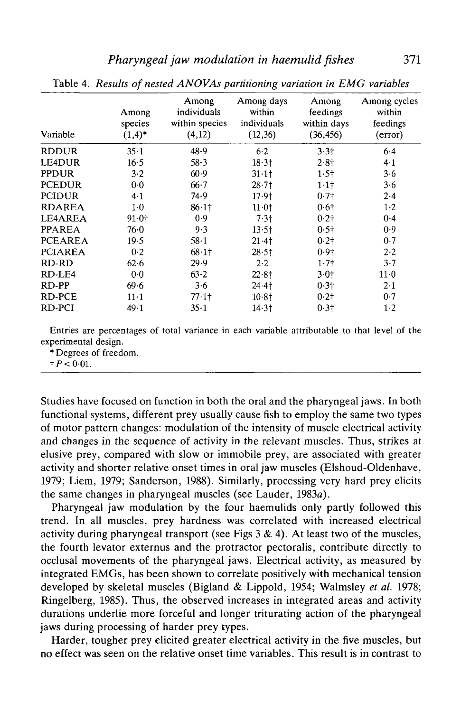| Variable       | Among<br>species<br>$(1,4)^*$ | Among<br>individuals<br>within species<br>(4,12) | Among days<br>within<br>individuals<br>(12,36) | Among<br>feedings<br>within days<br>(36, 456) | Among cycles<br>within<br>feedings<br>(error) |
|----------------|-------------------------------|--------------------------------------------------|------------------------------------------------|-----------------------------------------------|-----------------------------------------------|
| <b>RDDUR</b>   | $35 - 1$                      | 48.9                                             | $6 - 2$                                        | 3.3 <sub>†</sub>                              | $6-4$                                         |
| <b>LE4DUR</b>  | 16.5                          | 58.3                                             | $18 - 31$                                      | 2.8 <sub>†</sub>                              | 4.1                                           |
| <b>PPDUR</b>   | 3.2                           | 60.9                                             | $31 \cdot 11$                                  | $1.5$ †                                       | 3.6                                           |
| <b>PCEDUR</b>  | $0-0$                         | 66.7                                             | $28 - 71$                                      | 1.11                                          | 3.6                                           |
| <b>PCIDUR</b>  | 4.1                           | 74.9                                             | 17.9 <sub>†</sub>                              | $0.7\dagger$                                  | 2.4                                           |
| <b>RDAREA</b>  | $1-0$                         | $86.1$ †                                         | 11.01                                          | $0.6\dagger$                                  | $1-2$                                         |
| LE4AREA        | $91.0^{+}$                    | 0.9                                              | $7.3+$                                         | 0.21                                          | 0.4                                           |
| <b>PPAREA</b>  | 76.0                          | 9.3                                              | $13.5\dagger$                                  | $0.5\dagger$                                  | 0.9                                           |
| <b>PCEAREA</b> | 19.5                          | $58-1$                                           | 21.4                                           | 0.21                                          | 0.7                                           |
| <b>PCIAREA</b> | 0.2                           | $68.1$ †                                         | $28.5 +$                                       | 0.9 <sub>†</sub>                              | 2.2                                           |
| RD-RD          | 62.6                          | 29.9                                             | 2.2                                            | 1.71                                          | 3.7                                           |
| RD-LE4         | 0.0                           | 63.2                                             | $22.8$ †                                       | $3.0+$                                        | $11-0$                                        |
| RD-PP          | 69.6                          | 3.6                                              | $24.4$ <sup>+</sup>                            | 0.3 <sub>1</sub>                              | 2.1                                           |
| RD-PCE         | $11 - 1$                      | $77.1$ <sup>+</sup>                              | 10.81                                          | 0.21                                          | 0.7                                           |
| RD-PCI         | 49.1                          | 35.1                                             | 14.3 <sub>†</sub>                              | 0.31                                          | $1-2$                                         |

Table 4. *Results of nested ANOVAs partitioning variation in EMG variables*

Entries are percentages of total variance in each variable attributable to that level of the experimental design.

\* Degrees of freedom.

 $tP < 0.01$ .

Studies have focused on function in both the oral and the pharyngeal jaws. In both functional systems, different prey usually cause fish to employ the same two types of motor pattern changes: modulation of the intensity of muscle electrical activity and changes in the sequence of activity in the relevant muscles. Thus, strikes at elusive prey, compared with slow or immobile prey, are associated with greater activity and shorter relative onset times in oral jaw muscles (Elshoud-Oldenhave, 1979; Liem, 1979; Sanderson, 1988). Similarly, processing very hard prey elicits the same changes in pharyngeal muscles (see Lauder, 1983a).

Pharyngeal jaw modulation by the four haemulids only partly followed this trend. In all muscles, prey hardness was correlated with increased electrical activity during pharyngeal transport (see Figs  $3 \& 4$ ). At least two of the muscles, the fourth levator externus and the protractor pectoralis, contribute directly to occlusal movements of the pharyngeal jaws. Electrical activity, as measured by integrated EMGs, has been shown to correlate positively with mechanical tension developed by skeletal muscles (Bigland & Lippold, 1954; Walmsley *et al.* 1978; Ringelberg, 1985). Thus, the observed increases in integrated areas and activity durations underlie more forceful and longer triturating action of the pharyngeal jaws during processing of harder prey types.

Harder, tougher prey elicited greater electrical activity in the five muscles, but no effect was seen on the relative onset time variables. This result is in contrast to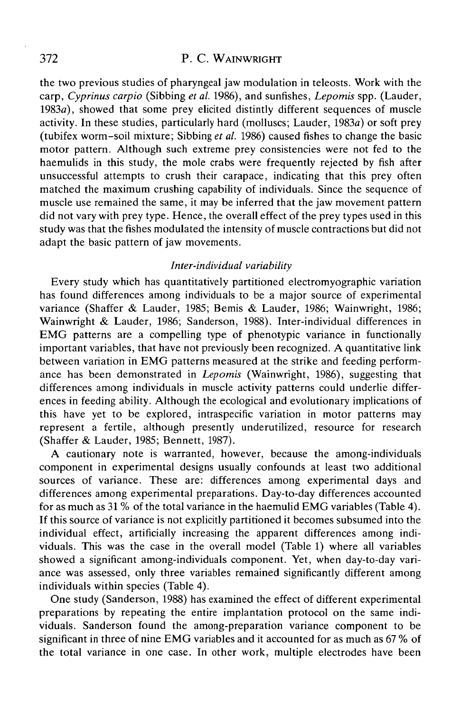### 372 P. C. WAINWRIGHT

the two previous studies of pharyngeal jaw modulation in teleosts. Work with the carp, *Cyprinus carpio* (Sibbing *et al.* 1986), and sunfishes, *Lepomis* spp. (Lauder, 1983a), showed that some prey elicited distintly different sequences of muscle activity. In these studies, particularly hard (molluscs; Lauder, 1983a) or soft prey (tubifex worm-soil mixture; Sibbing *et al.* 1986) caused fishes to change the basic motor pattern. Although such extreme prey consistencies were not fed to the haemulids in this study, the mole crabs were frequently rejected by fish after unsuccessful attempts to crush their carapace, indicating that this prey often matched the maximum crushing capability of individuals. Since the sequence of muscle use remained the same, it may be inferred that the jaw movement pattern did not vary with prey type. Hence, the overall effect of the prey types used in this study was that the fishes modulated the intensity of muscle contractions but did not adapt the basic pattern of jaw movements.

## *Inter-individual variability*

Every study which has quantitatively partitioned electromyographic variation has found differences among individuals to be a major source of experimental variance (Shaffer & Lauder, 1985; Bemis & Lauder, 1986; Wainwright, 1986; Wainwright & Lauder, 1986; Sanderson, 1988). Inter-individual differences in EMG patterns are a compelling type of phenotypic variance in functionally important variables, that have not previously been recognized. A quantitative link between variation in EMG patterns measured at the strike and feeding performance has been demonstrated in *Lepomis* (Wainwright, 1986), suggesting that differences among individuals in muscle activity patterns could underlie differences in feeding ability. Although the ecological and evolutionary implications of this have yet to be explored, intraspecific variation in motor patterns may represent a fertile, although presently underutilized, resource for research (Shaffer & Lauder, 1985; Bennett, 1987).

A cautionary note is warranted, however, because the among-individuals component in experimental designs usually confounds at least two additional sources of variance. These are: differences among experimental days and differences among experimental preparations. Day-to-day differences accounted for as much as 31 % of the total variance in the haemulid EMG variables (Table 4). If this source of variance is not explicitly partitioned it becomes subsumed into the individual effect, artificially increasing the apparent differences among individuals. This was the case in the overall model (Table 1) where all variables showed a significant among-individuals component. Yet, when day-to-day variance was assessed, only three variables remained significantly different among individuals within species (Table 4).

One study (Sanderson, 1988) has examined the effect of different experimental preparations by repeating the entire implantation protocol on the same individuals. Sanderson found the among-preparation variance component to be significant in three of nine EMG variables and it accounted for as much as 67 % of the total variance in one case. In other work, multiple electrodes have been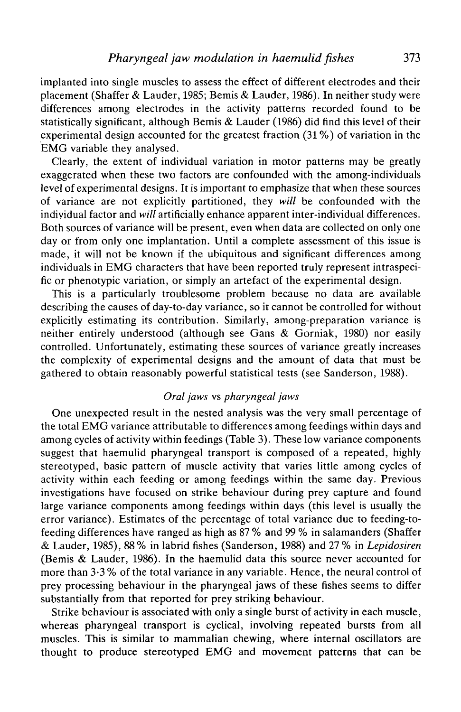implanted into single muscles to assess the effect of different electrodes and their placement (Shaffer & Lauder, 1985; Bemis & Lauder, 1986). In neither study were differences among electrodes in the activity patterns recorded found to be statistically significant, although Bemis & Lauder (1986) did find this level of their experimental design accounted for the greatest fraction (31 %) of variation in the EMG variable they analysed.

Clearly, the extent of individual variation in motor patterns may be greatly exaggerated when these two factors are confounded with the among-individuals level of experimental designs. It is important to emphasize that when these sources of variance are not explicitly partitioned, they *will* be confounded with the individual factor and *will* artificially enhance apparent inter-individual differences. Both sources of variance will be present, even when data are collected on only one day or from only one implantation. Until a complete assessment of this issue is made, it will not be known if the ubiquitous and significant differences among individuals in EMG characters that have been reported truly represent intraspecific or phenotypic variation, or simply an artefact of the experimental design.

This is a particularly troublesome problem because no data are available describing the causes of day-to-day variance, so it cannot be controlled for without explicitly estimating its contribution. Similarly, among-preparation variance is neither entirely understood (although see Gans & Gorniak, 1980) nor easily controlled. Unfortunately, estimating these sources of variance greatly increases the complexity of experimental designs and the amount of data that must be gathered to obtain reasonably powerful statistical tests (see Sanderson, 1988).

# *Oral jaws* vs *pharyngeal jaws*

One unexpected result in the nested analysis was the very small percentage of the total EMG variance attributable to differences among feedings within days and among cycles of activity within feedings (Table 3). These low variance components suggest that haemulid pharyngeal transport is composed of a repeated, highly stereotyped, basic pattern of muscle activity that varies little among cycles of activity within each feeding or among feedings within the same day. Previous investigations have focused on strike behaviour during prey capture and found large variance components among feedings within days (this level is usually the error variance). Estimates of the percentage of total variance due to feeding-tofeeding differences have ranged as high as 87 % and 99 % in salamanders (Shaffer & Lauder, 1985), 88 % in labrid fishes (Sanderson, 1988) and 27 % in *Lepidosiren* (Bemis & Lauder, 1986). In the haemulid data this source never accounted for more than 3-3 % of the total variance in any variable. Hence, the neural control of prey processing behaviour in the pharyngeal jaws of these fishes seems to differ substantially from that reported for prey striking behaviour.

Strike behaviour is associated with only a single burst of activity in each muscle, whereas pharyngeal transport is cyclical, involving repeated bursts from all muscles. This is similar to mammalian chewing, where internal oscillators are thought to produce stereotyped EMG and movement patterns that can be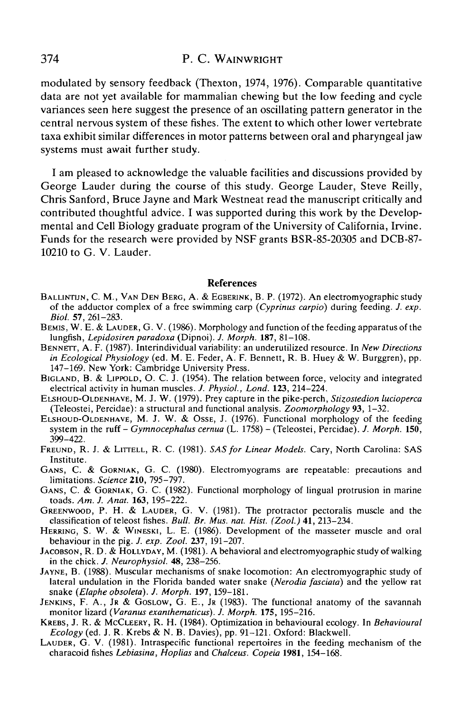### 374 P. C. WAINWRIGHT

modulated by sensory feedback (Thexton, 1974, 1976). Comparable quantitative data are not yet available for mammalian chewing but the low feeding and cycle variances seen here suggest the presence of an oscillating pattern generator in the central nervous system of these fishes. The extent to which other lower vertebrate taxa exhibit similar differences in motor patterns between oral and pharyngeal jaw systems must await further study.

I am pleased to acknowledge the valuable facilities and discussions provided by George Lauder during the course of this study. George Lauder, Steve Reilly, Chris Sanford, Bruce Jayne and Mark Westneat read the manuscript critically and contributed thoughtful advice. I was supported during this work by the Developmental and Cell Biology graduate program of the University of California, Irvine. Funds for the research were provided by NSF grants BSR-85-20305 and DCB-87- 10210 to G. V. Lauder.

#### References

- BALUNTUN, C. M., VAN DEN BERG, A. & EGBERINK, B. P. (1972). An electromyographic study of the adductor complex of a free swimming carp *(Cyprinus carpio)* during feeding. *J. exp.*
- *BEMIS, W. E. & LAUDER, G. V.* (1986). Morphology and function of the feeding apparatus of the lungfish, *Lepidosiren paradoxa* (Dipnoi). *J. Morph.* **187**, 81–108.
- BENNETT, A. F. (1987). Interindividual variability: an underutilized resource. In *New Directions*<br>*in Ecological Physiology* (ed. M. E. Feder, A. F. Bennett, R. B. Huey & W. Burggren), pp.
- 147–169. New York: Cambridge University Press.<br>BIGLAND, B. & LIPPOLD, O. C. J. (1954). The relation between force, velocity and integrated electrical activity in human muscles. J. Physiol., Lond. 123, 214–224.
- ELSHOUD-OLDENHAVE, M. J. W. (1979). Prey capture in the pike-perch, Stizostedion lucioperca<br>(Teleostei, Percidae): a structural and functional analysis. Zoomorphology 93, 1–32.
- (Teleostei, Percidae): a structural and functional analysis. *Zoomorphology* **93,** 1-32. ELSHOUD-OLDENHAVE, M. J. W. & OSSE, J. (1976). Functional morphology of the feeding system in the ruff - *Gymnocephalus cernua* (L. 1758) - (Teleostei, Percidae). J. Morph. 150,<br>399–422.
- 399-422. FREUND, R. J. & LITTELL, R. C. (1981). *SAS for Linear Models.* Cary, North Carolina: SAS
- GANS, C. & GORNIAK, G. C. (1980). Electromyograms are repeatable: precautions and limitations. Science 210, 795-797.
- GANS, C. & GORNIAK, G. C. (1982). Functional morphology of lingual protrusion in marine toads. Am. J. Anat. 163, 195-222.
- GREENWOOD, P. H. & LAUDER, G. V. (1981). The protractor pectoralis muscle and the classification of teleost fishes. *Bull. Br. Mus. nat. Hist.* (Zool.) 41, 213–234.
- HERRING, S. W. & WINESKI, L. E. (1986). Development of the masseter muscle and oral behaviour in the pig. *J. exp. Zool.* 237, 191–207.
- JACOBSON, R. D. & HOLLYDAY, M. (1981). A behavioral and electromyographic study of walking<br>in the chick. *J. Neurophysiol.* 48, 238–256.
- JAYNE, B. (1988). Muscular mechanisms of snake locomotion: An electromyographic study of lateral undulation in the Florida banded water snake *{Nerodia fasciata)* and the yellow rat
- JENKINS, F. A., JR & GOSLOW, G. E., JR (1983). The functional anatomy of the savannah monitor lizard (*Varanus exanthematicus*). *J. Morph.* 175, 195-216.
- KREBS, J. R. & MCCLEERY, R. H. (1984). Optimization in behavioural ecology. In *Behavioural Ecology* (ed. J. R. Krebs & N. B. Davies), pp. 91-121. Oxford: Blackwell.
- *Eauper, G. V. (1981).* Intraspecific functional repertoires in the feeding mechanism of the characoid fishes *Lebiasina, Hoplias* and *Chalceus. Copeia* **1981,** 154-168.